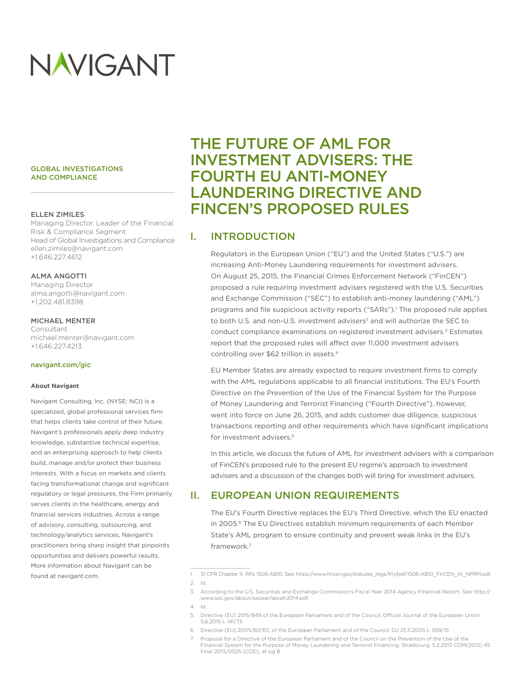# NAVIGANT

#### GLOBAL INVESTIGATIONS AND COMPLIANCE

#### ELLEN ZIMILES

Managing Director, Leader of the Financial Risk & Compliance Segment Head of Global Investigations and Compliance ellen.zimiles@navigant.com +1.646.227.4612

#### ALMA ANGOTTI

Managing Director alma.angotti@navigant.com +1.202.481.8398

#### MICHAEL MENTER

Consultant michael.menter@navigant.com +1.646.227.4213

#### [navigant.com/gic](http://navigant.com/gic)

#### **About Navigant**

Navigant Consulting, Inc. (NYSE: NCI) is a specialized, global professional services firm that helps clients take control of their future. Navigant's professionals apply deep industry knowledge, substantive technical expertise, and an enterprising approach to help clients build, manage and/or protect their business interests. With a focus on markets and clients facing transformational change and significant regulatory or legal pressures, the Firm primarily serves clients in the healthcare, energy and financial services industries. Across a range of advisory, consulting, outsourcing, and technology/analytics services, Navigant's practitioners bring sharp insight that pinpoints opportunities and delivers powerful results. More information about Navigant can be found at navigant.com.

## THE FUTURE OF AML FOR INVESTMENT ADVISERS: THE FOURTH EU ANTI-MONEY LAUNDERING DIRECTIVE AND FINCEN'S PROPOSED RULES

## I. INTRODUCTION

Regulators in the European Union ("EU") and the United States ("U.S.") are increasing Anti-Money Laundering requirements for investment advisers. On August 25, 2015, the Financial Crimes Enforcement Network ("FinCEN") proposed a rule requiring investment advisers registered with the U.S. Securities and Exchange Commission ("SEC") to establish anti-money laundering ("AML") programs and file suspicious activity reports ("SARs").<sup>1</sup> The proposed rule applies to both U.S. and non-U.S. investment advisers<sup>2</sup> and will authorize the SEC to conduct compliance examinations on registered investment advisers.<sup>3</sup> Estimates report that the proposed rules will affect over 11,000 investment advisers controlling over \$62 trillion in assets.4

EU Member States are already expected to require investment firms to comply with the AML regulations applicable to all financial institutions. The EU's Fourth Directive on the Prevention of the Use of the Financial System for the Purpose of Money Laundering and Terrorist Financing ("Fourth Directive"), however, went into force on June 26, 2015, and adds customer due diligence, suspicious transactions reporting and other requirements which have significant implications for investment advisers.<sup>5</sup>

In this article, we discuss the future of AML for investment advisers with a comparison of FinCEN's proposed rule to the present EU regime's approach to investment advisers and a discussion of the changes both will bring for investment advisers.

## II. EUROPEAN UNION REQUIREMENTS

The EU's Fourth Directive replaces the EU's Third Directive, which the EU enacted in 2005.<sup>6</sup> The EU Directives establish minimum requirements of each Member State's AML program to ensure continuity and prevent weak links in the EU's framework.7

<sup>1.</sup> 31 CFR Chapter X. RIN: 1506-AB10. See: [https://www.fincen.gov/statutes\\_regs/frn/pdf/1506-AB10\\_FinCEN\\_IA\\_NPRM.pdf.](https://www.fincen.gov/statutes_regs/frn/pdf/1506-AB10_FinCEN_IA_NPRM.pdf) 2. Id.

<sup>3.</sup> According to the U.S. Securities and Exchange Commission's Fiscal Year 2014 Agency Financial Report. See: http:// www.sec.gov/about/secpar/secafr2014.pdf.

<sup>4.</sup> Id.

<sup>5.</sup> Directive (EU) 2015/849 of the European Parliament and of the Council, Official Journal of the European Union 5.6.2015 L 141/73

<sup>6.</sup> Directive (EU) 2005/60/EC of the European Parliament and of the Council, OJ 25.11.2005 L 309/15

Proposal for a Directive of the European Parliament and of the Council on the Prevention of the Use of the Financial System for the Purpose of Money Laundering and Terrorist Financing, Strasbourg, 5.2.2013 COM(2013) 45 Final 2013/0025 (COD), at pg 8.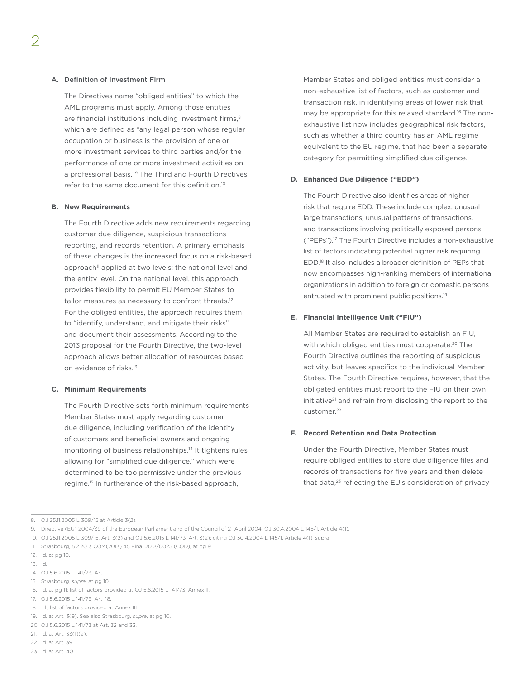#### A. Definition of Investment Firm

The Directives name "obliged entities" to which the AML programs must apply. Among those entities are financial institutions including investment firms,<sup>8</sup> which are defined as "any legal person whose regular occupation or business is the provision of one or more investment services to third parties and/or the performance of one or more investment activities on a professional basis."9 The Third and Fourth Directives refer to the same document for this definition.10

#### **B. New Requirements**

The Fourth Directive adds new requirements regarding customer due diligence, suspicious transactions reporting, and records retention. A primary emphasis of these changes is the increased focus on a risk-based approach<sup>11</sup> applied at two levels: the national level and the entity level. On the national level, this approach provides flexibility to permit EU Member States to tailor measures as necessary to confront threats.<sup>12</sup> For the obliged entities, the approach requires them to "identify, understand, and mitigate their risks" and document their assessments. According to the 2013 proposal for the Fourth Directive, the two-level approach allows better allocation of resources based on evidence of risks.<sup>13</sup>

#### **C. Minimum Requirements**

The Fourth Directive sets forth minimum requirements Member States must apply regarding customer due diligence, including verification of the identity of customers and beneficial owners and ongoing monitoring of business relationships.14 It tightens rules allowing for "simplified due diligence," which were determined to be too permissive under the previous regime.15 In furtherance of the risk-based approach,

Member States and obliged entities must consider a non-exhaustive list of factors, such as customer and transaction risk, in identifying areas of lower risk that may be appropriate for this relaxed standard.16 The nonexhaustive list now includes geographical risk factors, such as whether a third country has an AML regime equivalent to the EU regime, that had been a separate category for permitting simplified due diligence.

#### **D. Enhanced Due Diligence ("EDD")**

The Fourth Directive also identifies areas of higher risk that require EDD. These include complex, unusual large transactions, unusual patterns of transactions, and transactions involving politically exposed persons ("PEPs").17 The Fourth Directive includes a non-exhaustive list of factors indicating potential higher risk requiring EDD.18 It also includes a broader definition of PEPs that now encompasses high-ranking members of international organizations in addition to foreign or domestic persons entrusted with prominent public positions.19

#### **E. Financial Intelligence Unit ("FIU")**

All Member States are required to establish an FIU, with which obliged entities must cooperate.<sup>20</sup> The Fourth Directive outlines the reporting of suspicious activity, but leaves specifics to the individual Member States. The Fourth Directive requires, however, that the obligated entities must report to the FIU on their own initiative<sup>21</sup> and refrain from disclosing the report to the customer.<sup>22</sup>

#### **F. Record Retention and Data Protection**

Under the Fourth Directive, Member States must require obliged entities to store due diligence files and records of transactions for five years and then delete that data,<sup>23</sup> reflecting the EU's consideration of privacy

13. Id.

<sup>8.</sup> OJ 25.11.2005 L 309/15 at Article 3(2).

<sup>9.</sup> Directive (EU) 2004/39 of the European Parliament and of the Council of 21 April 2004, OJ 30.4.2004 L 145/1, Article 4(1).

<sup>10.</sup> OJ 25.11.2005 L 309/15, Art. 3(2) and OJ 5.6.2015 L 141/73, Art. 3(2); citing OJ 30.4.2004 L 145/1, Article 4(1), supra

<sup>11.</sup> Strasbourg, 5.2.2013 COM(2013) 45 Final 2013/0025 (COD), at pg 9

<sup>12.</sup> Id. at pg 10.

<sup>14.</sup> OJ 5.6.2015 L 141/73, Art. 11.

<sup>15.</sup> Strasbourg, *supra*, at pg 10.

<sup>16.</sup> Id. at pg 11; list of factors provided at OJ 5.6.2015 L 141/73, Annex II.

<sup>17.</sup> OJ 5.6.2015 L 141/73, Art. 18.

<sup>18.</sup> Id.; list of factors provided at Annex III.

<sup>19.</sup> Id. at Art. 3(9). See also Strasbourg, *supra*, at pg 10.

<sup>20.</sup> OJ 5.6.2015 L 141/73 at Art. 32 and 33.

<sup>21.</sup> Id. at Art. 33(1)(a).

<sup>22.</sup> Id. at Art. 39.

<sup>23.</sup> Id. at Art. 40.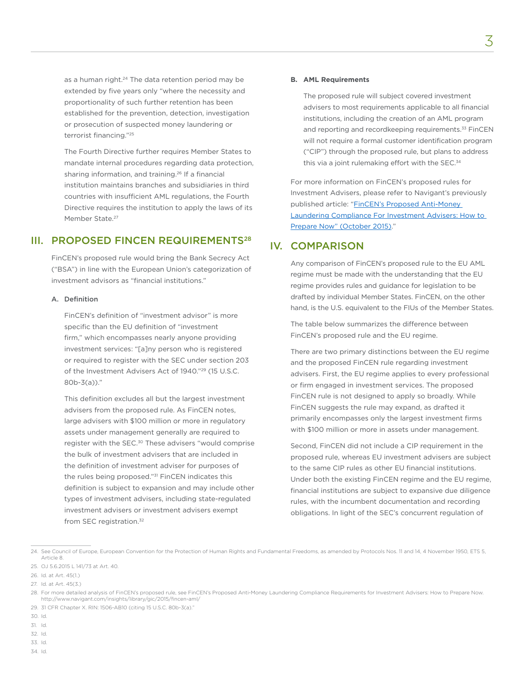as a human right.<sup>24</sup> The data retention period may be extended by five years only "where the necessity and proportionality of such further retention has been established for the prevention, detection, investigation or prosecution of suspected money laundering or terrorist financing."25

The Fourth Directive further requires Member States to mandate internal procedures regarding data protection, sharing information, and training.<sup>26</sup> If a financial institution maintains branches and subsidiaries in third countries with insufficient AML regulations, the Fourth Directive requires the institution to apply the laws of its Member State.<sup>27</sup>

## III. PROPOSED FINCEN REQUIREMENTS<sup>28</sup>

FinCEN's proposed rule would bring the Bank Secrecy Act ("BSA") in line with the European Union's categorization of investment advisors as "financial institutions."

#### A. Definition

FinCEN's definition of "investment advisor" is more specific than the EU definition of "investment firm," which encompasses nearly anyone providing investment services: "[a]ny person who is registered or required to register with the SEC under section 203 of the Investment Advisers Act of 1940."<sup>29</sup> (15 U.S.C. 80b-3(a))."

This definition excludes all but the largest investment advisers from the proposed rule. As FinCEN notes, large advisers with \$100 million or more in regulatory assets under management generally are required to register with the SEC.<sup>30</sup> These advisers "would comprise the bulk of investment advisers that are included in the definition of investment adviser for purposes of the rules being proposed."<sup>31</sup> FinCEN indicates this definition is subject to expansion and may include other types of investment advisers, including state-regulated investment advisers or investment advisers exempt from SEC registration.<sup>32</sup>

#### **B. AML Requirements**

The proposed rule will subject covered investment advisers to most requirements applicable to all financial institutions, including the creation of an AML program and reporting and recordkeeping requirements.<sup>33</sup> FinCEN will not require a formal customer identification program ("CIP") through the proposed rule, but plans to address this via a joint rulemaking effort with the SEC.<sup>34</sup>

3

For more information on FinCEN's proposed rules for Investment Advisers, please refer to Navigant's previously published article: "[FinCEN's Proposed Anti-Money](http://www.navigant.com/~/media/WWW/Site/Insights/GIC/GIC_FinCenInvestmentAdvisorClientAlert2015_AD_0915 FINAL.ashx)  [Laundering Compliance For Investment Advisers: How to](http://www.navigant.com/~/media/WWW/Site/Insights/GIC/GIC_FinCenInvestmentAdvisorClientAlert2015_AD_0915 FINAL.ashx)  [Prepare Now" \(October 2015\).](http://www.navigant.com/~/media/WWW/Site/Insights/GIC/GIC_FinCenInvestmentAdvisorClientAlert2015_AD_0915 FINAL.ashx)"

## IV. COMPARISON

Any comparison of FinCEN's proposed rule to the EU AML regime must be made with the understanding that the EU regime provides rules and guidance for legislation to be drafted by individual Member States. FinCEN, on the other hand, is the U.S. equivalent to the FIUs of the Member States.

The table below summarizes the difference between FinCEN's proposed rule and the EU regime.

There are two primary distinctions between the EU regime and the proposed FinCEN rule regarding investment advisers. First, the EU regime applies to every professional or firm engaged in investment services. The proposed FinCEN rule is not designed to apply so broadly. While FinCEN suggests the rule may expand, as drafted it primarily encompasses only the largest investment firms with \$100 million or more in assets under management.

Second, FinCEN did not include a CIP requirement in the proposed rule, whereas EU investment advisers are subject to the same CIP rules as other EU financial institutions. Under both the existing FinCEN regime and the EU regime, financial institutions are subject to expansive due diligence rules, with the incumbent documentation and recording obligations. In light of the SEC's concurrent regulation of

- 32. Id.
- 33. Id. 34. Id.

<sup>24.</sup> See Council of Europe, European Convention for the Protection of Human Rights and Fundamental Freedoms, as amended by Protocols Nos. 11 and 14, 4 November 1950, ETS 5, Article 8.

<sup>25.</sup> OJ 5.6.2015 L 141/73 at Art. 40.

<sup>26.</sup> Id. at Art. 45(1.)

<sup>27.</sup> Id. at Art. 45(3.)

<sup>28.</sup> For more detailed analysis of FinCEN's proposed rule, see FinCEN's Proposed Anti-Money Laundering Compliance Requirements for Investment Advisers: How to Prepare Now. http://www.navigant.com/insights/library/gic/2015/fincen-aml/

<sup>29.</sup> 31 CFR Chapter X. RIN: 1506-AB10 (citing 15 U.S.C. 80b-3(a)."

<sup>30.</sup> Id.

<sup>31.</sup> Id.